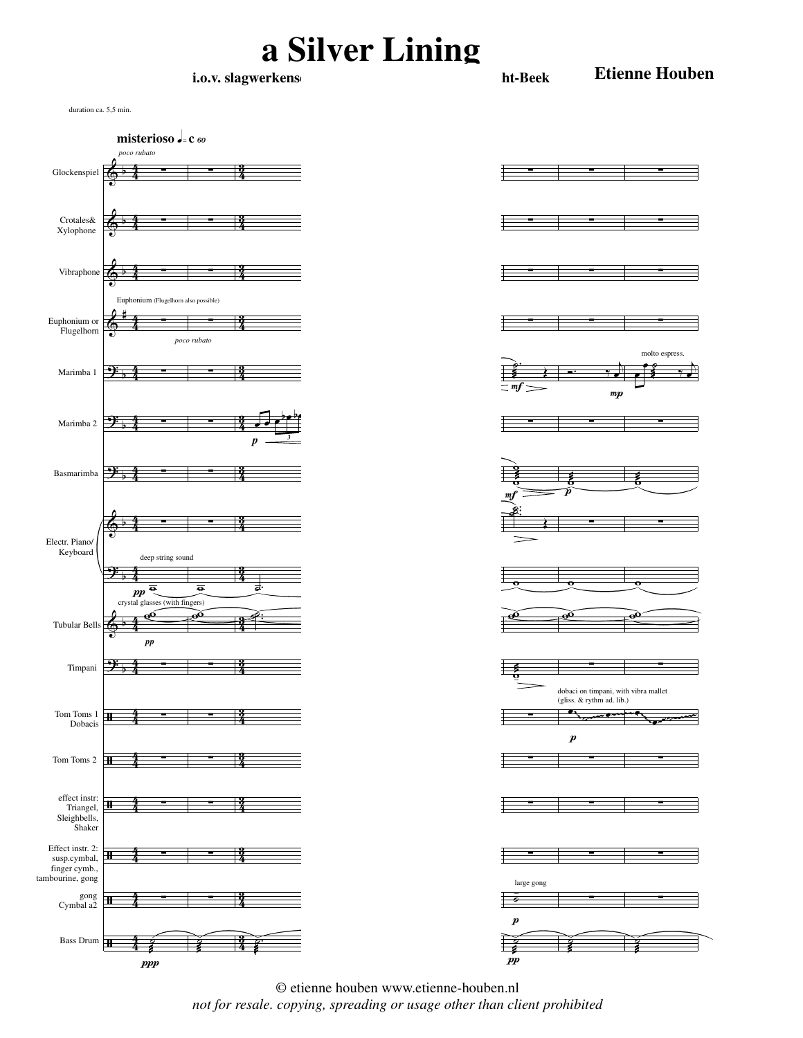## **a Silver Lining**

## **i.o.v. slagwerkens**

duration ca. 5,5 min.







© etienne houben www.etienne-houben.nl *not for resale. copying, spreading or usage other than client prohibited*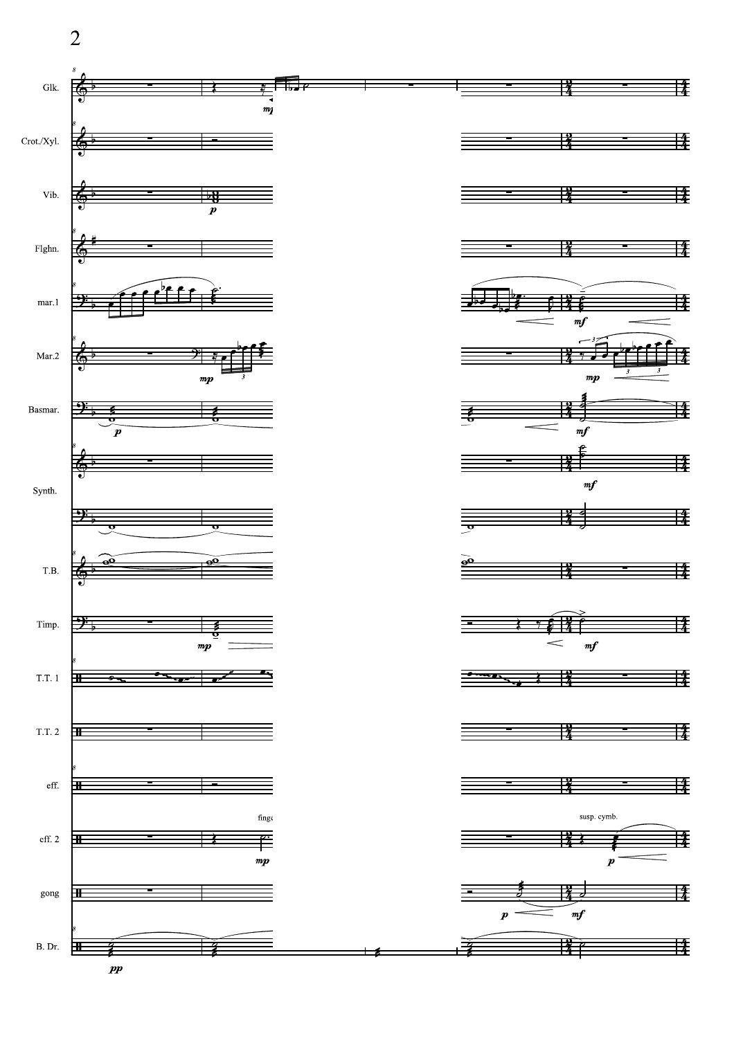

 $pp$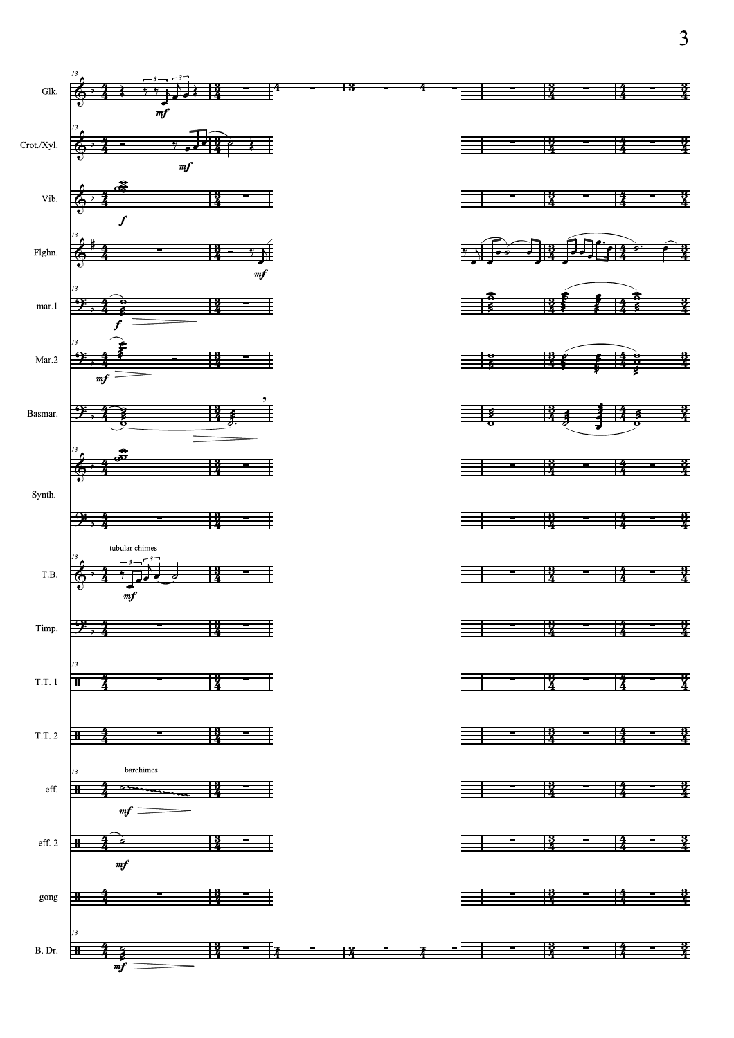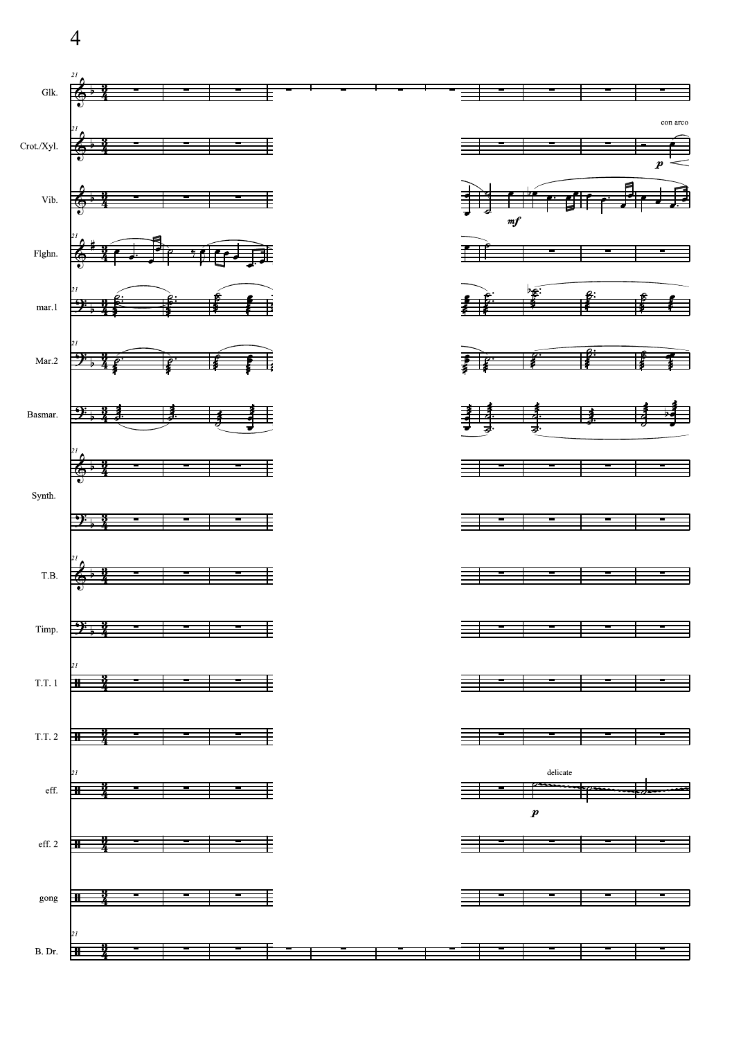

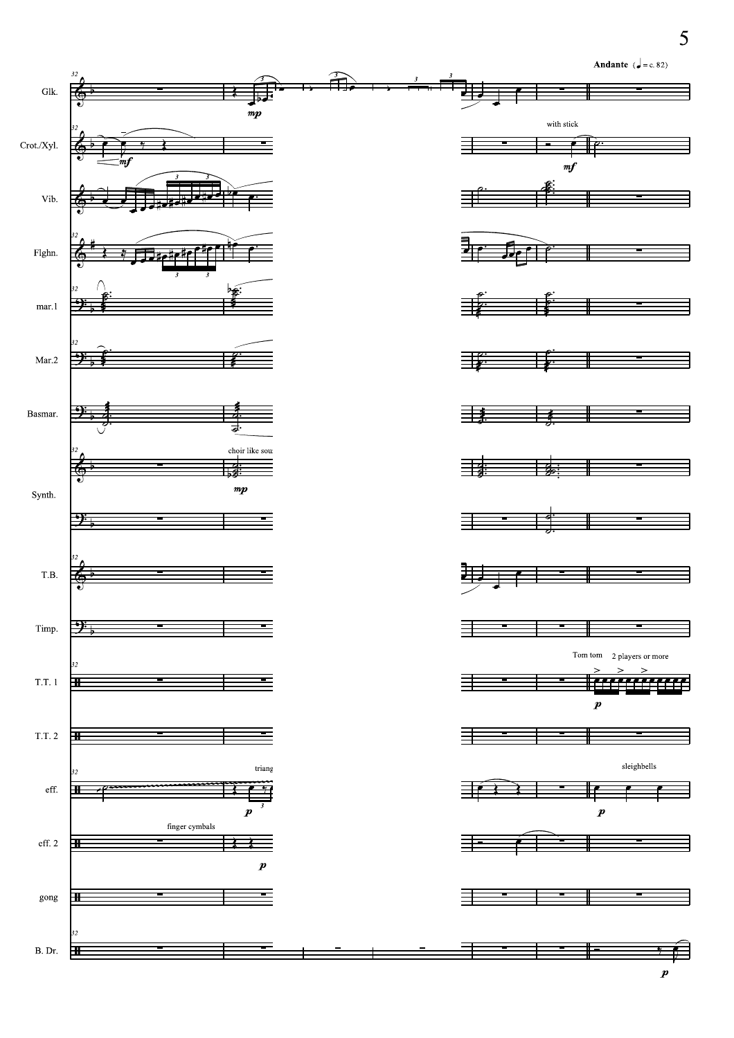Andante ( $\downarrow$  = c. 82)

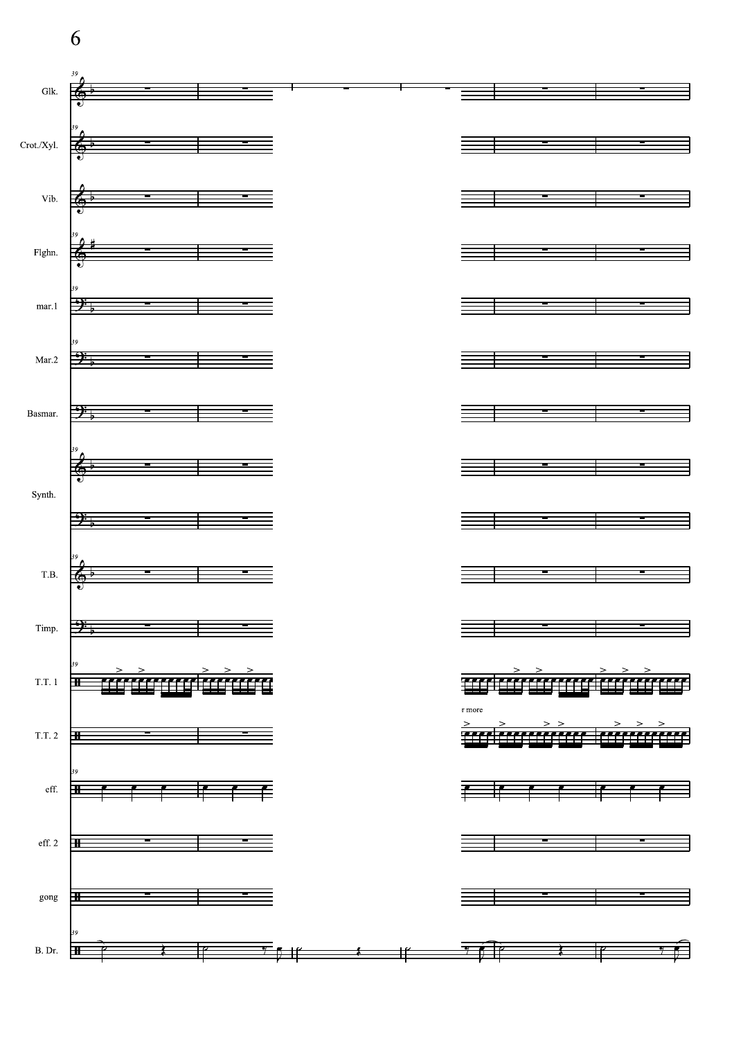

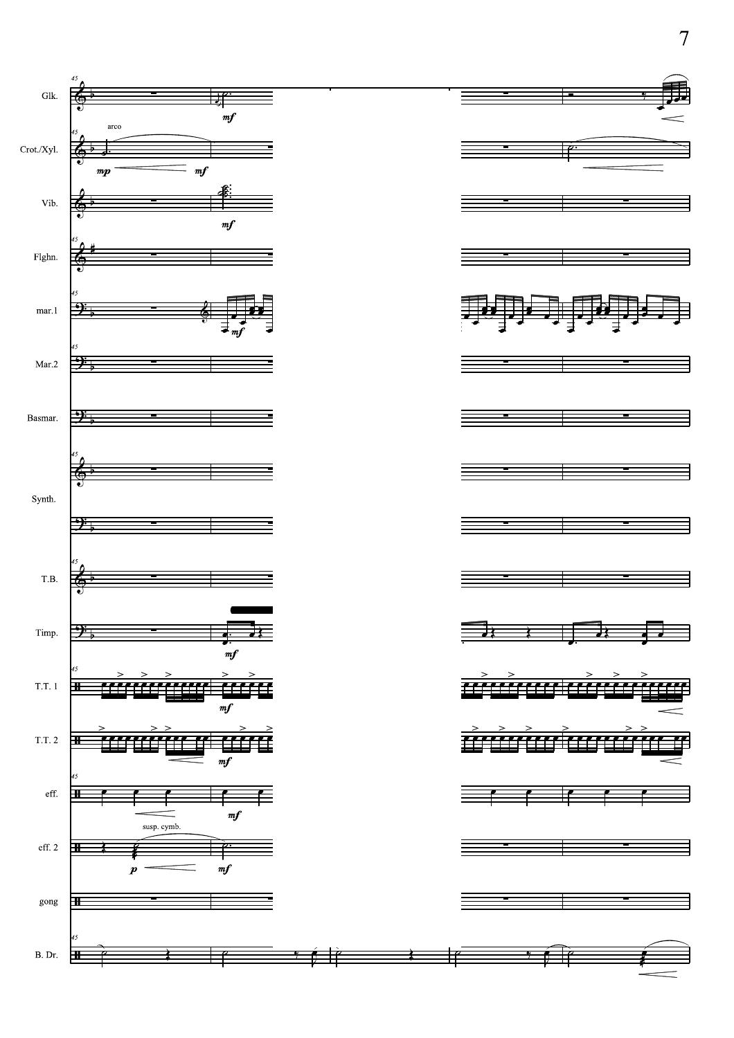

9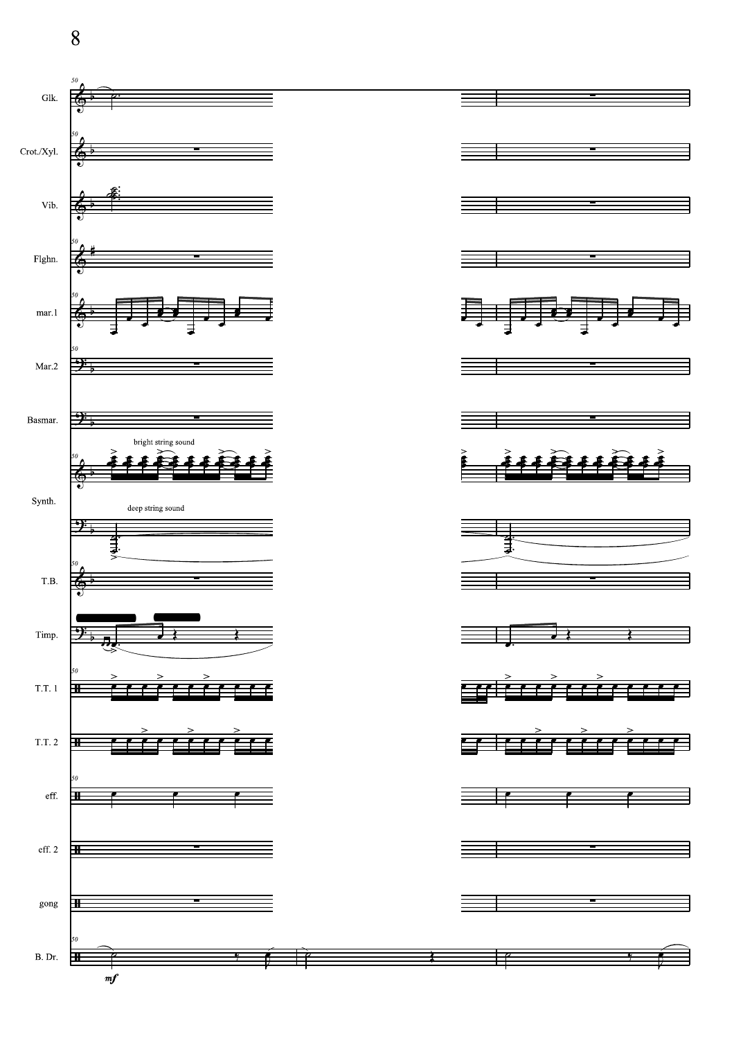

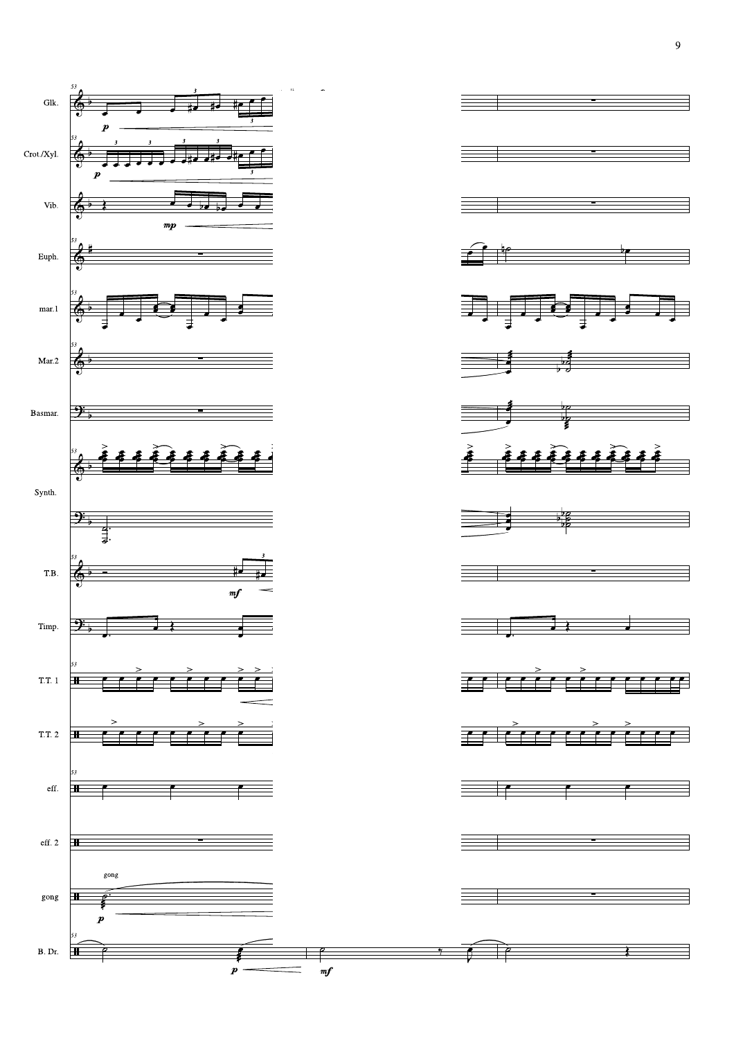

 $mf$ 





표

 $\blacksquare$ 

 $\boldsymbol{p}$ 

gong

B. Dr.





 $\sum_{i=1}^{n}$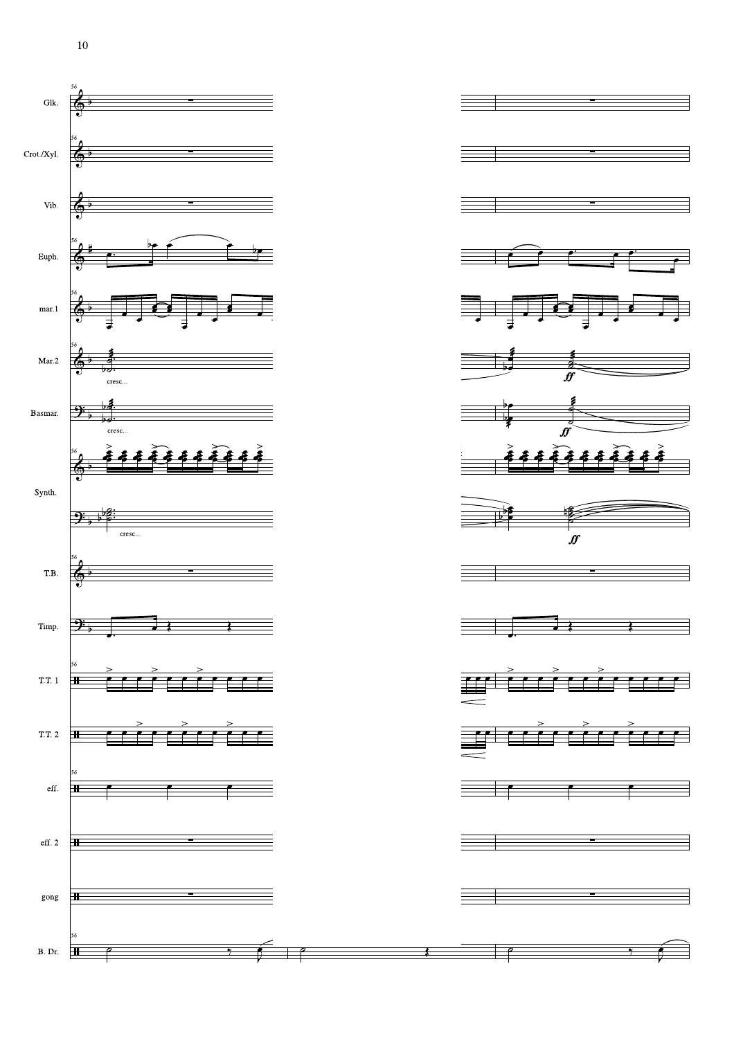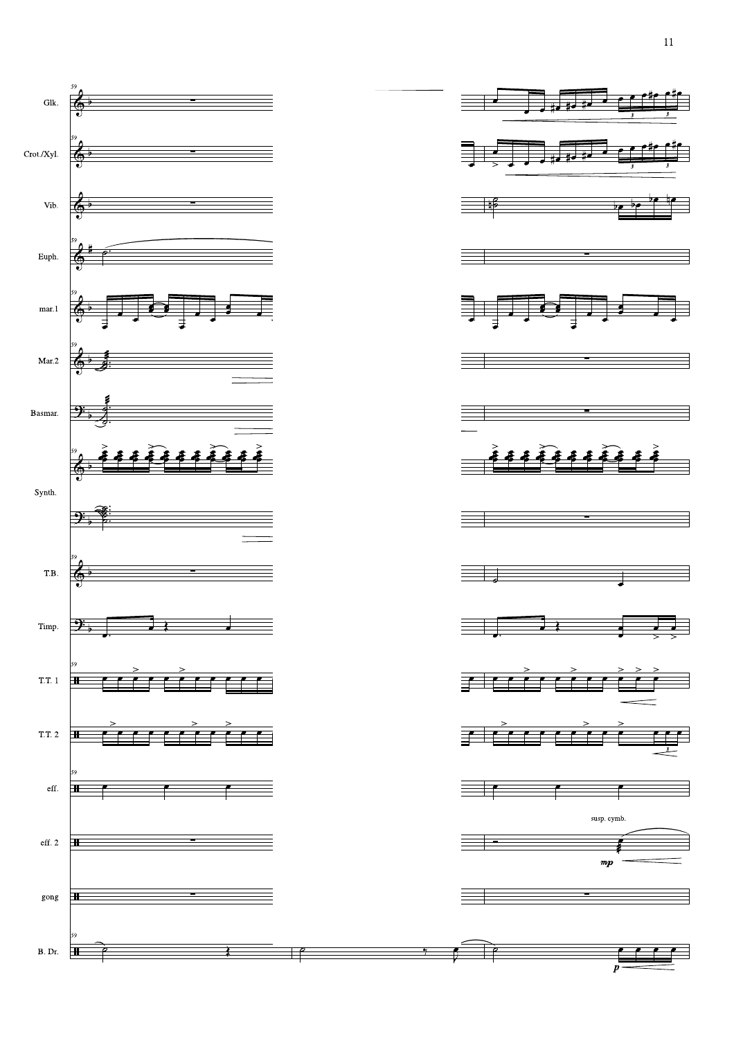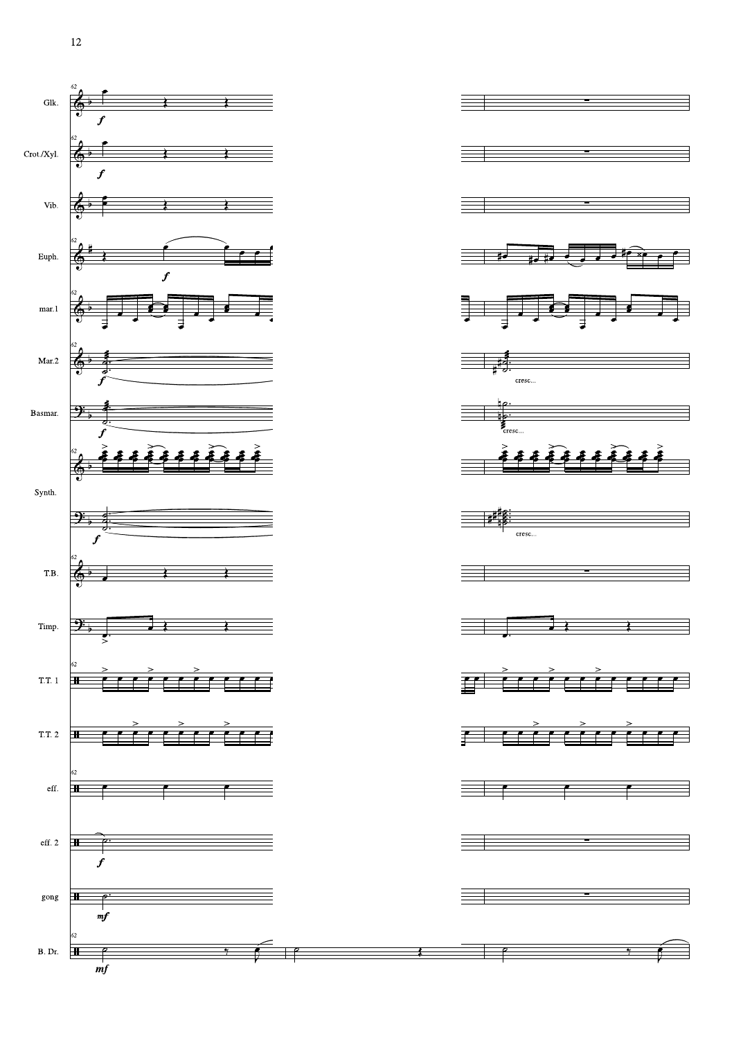



 $\frac{1}{2}$ 

 $\int$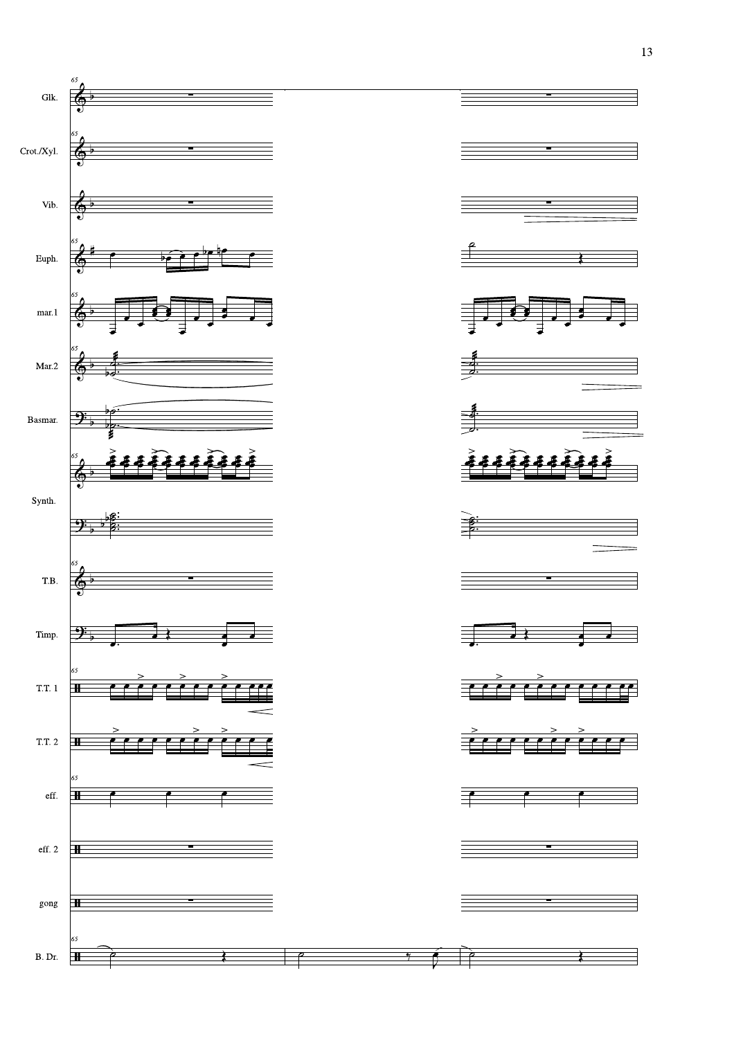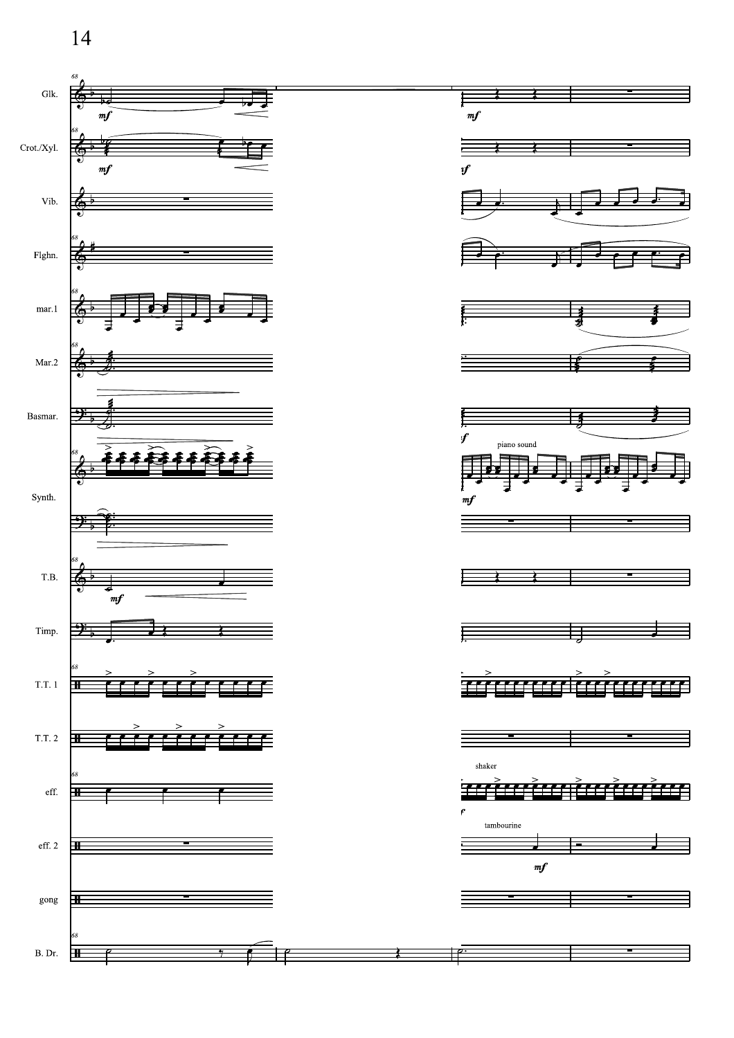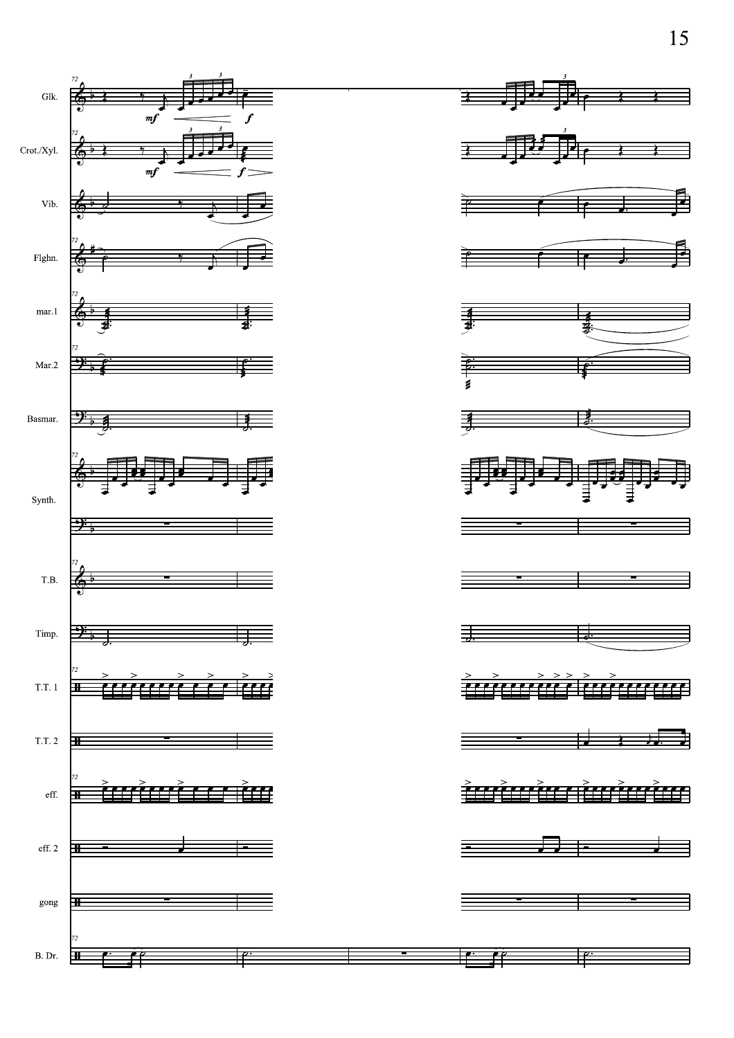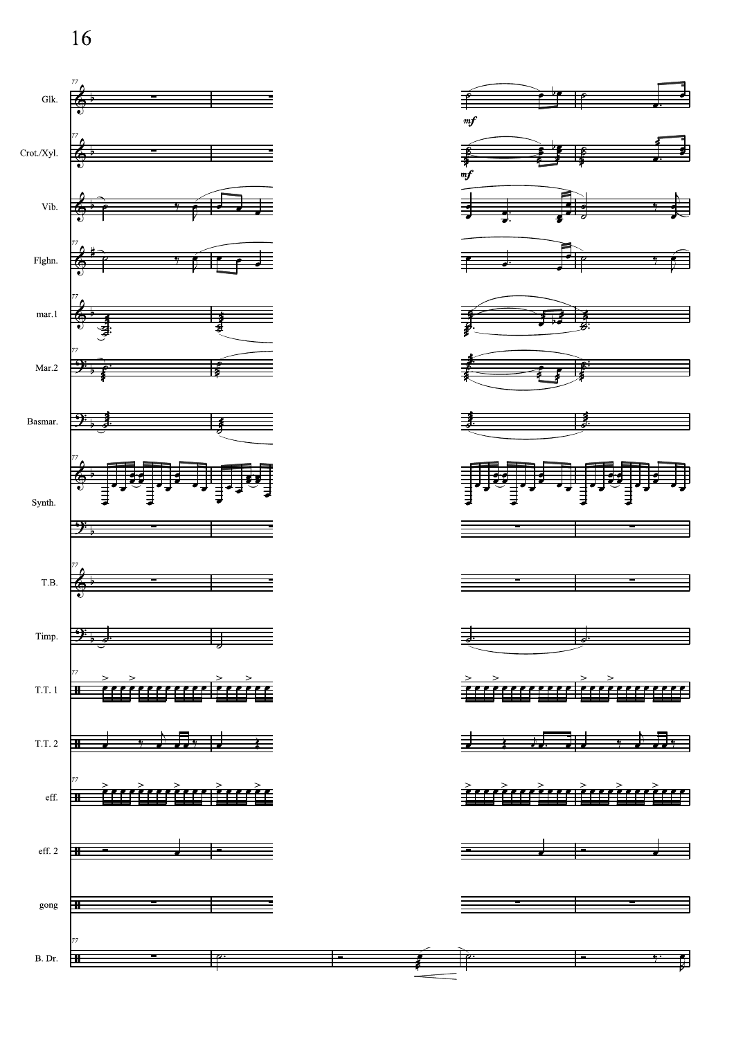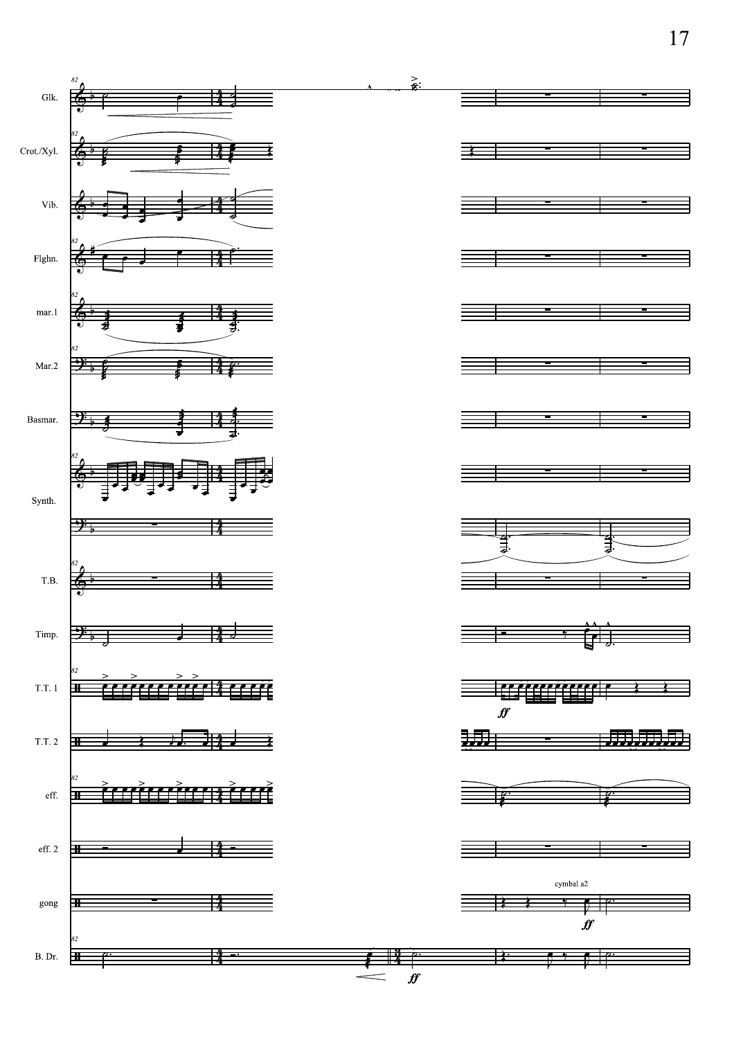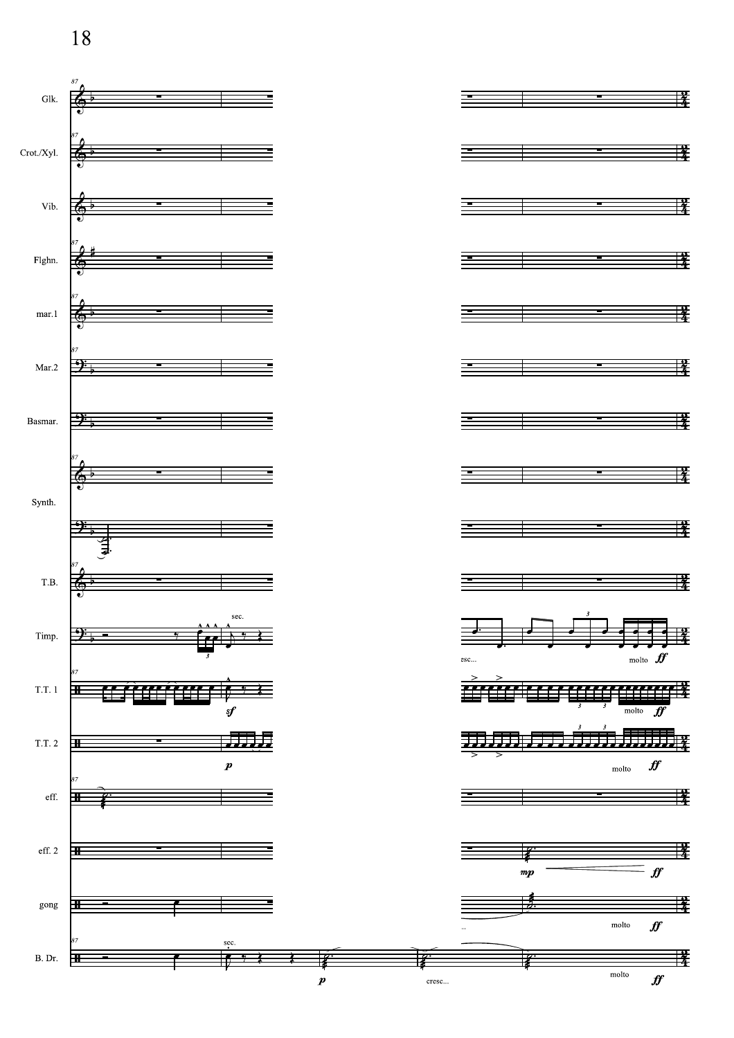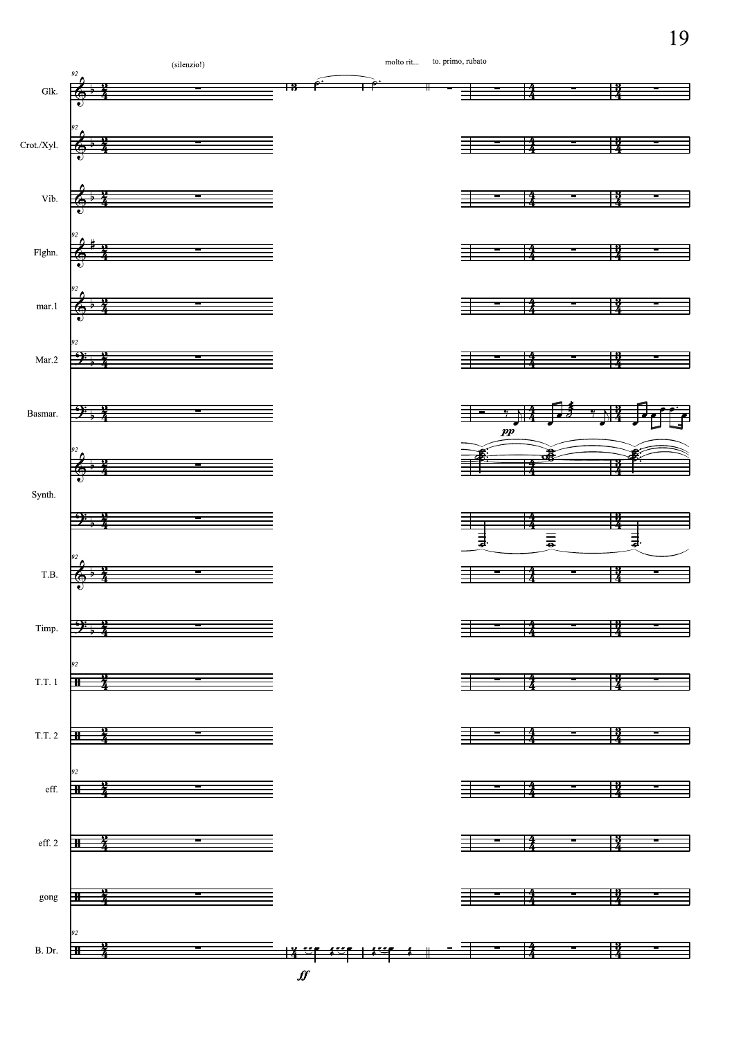